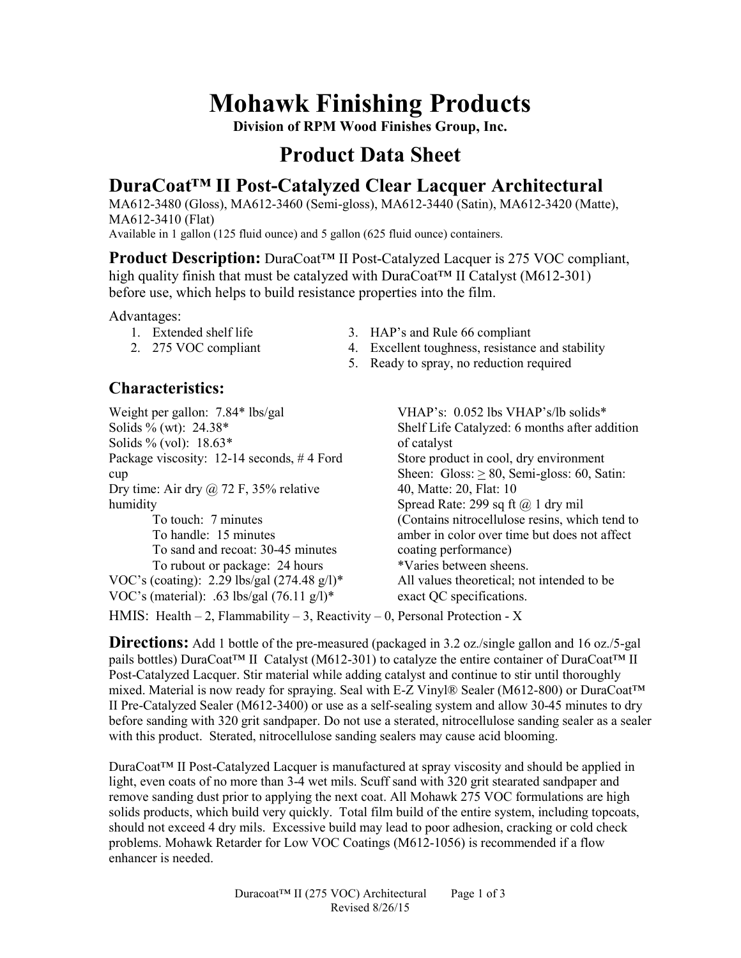## **Mohawk Finishing Products**

**Division of RPM Wood Finishes Group, Inc.** 

## **Product Data Sheet**

### **DuraCoat™ II Post-Catalyzed Clear Lacquer Architectural**

MA612-3480 (Gloss), MA612-3460 (Semi-gloss), MA612-3440 (Satin), MA612-3420 (Matte), MA612-3410 (Flat)

Available in 1 gallon (125 fluid ounce) and 5 gallon (625 fluid ounce) containers.

**Product Description:** DuraCoat™ II Post-Catalyzed Lacquer is 275 VOC compliant, high quality finish that must be catalyzed with  $DuraCoat<sup>TM</sup>$  II Catalyst (M612-301) before use, which helps to build resistance properties into the film.

Advantages:

- 1. Extended shelf life
- 2. 275 VOC compliant
- 3. HAP's and Rule 66 compliant
- 4. Excellent toughness, resistance and stability
- 5. Ready to spray, no reduction required

### **Characteristics:**

Weight per gallon: 7.84\* lbs/gal Solids % (wt): 24.38\* Solids % (vol): 18.63\* Package viscosity: 12-14 seconds, #4 Ford cup Dry time: Air dry  $\omega$  72 F, 35% relative humidity To touch: 7 minutes To handle: 15 minutes To sand and recoat: 30-45 minutes To rubout or package: 24 hours VOC's (coating): 2.29 lbs/gal (274.48 g/l)\* VOC's (material): .63 lbs/gal  $(76.11 \text{ g/l})^*$ 

VHAP's: 0.052 lbs VHAP's/lb solids\* Shelf Life Catalyzed: 6 months after addition of catalyst Store product in cool, dry environment Sheen: Gloss:  $> 80$ , Semi-gloss: 60, Satin: 40, Matte: 20, Flat: 10 Spread Rate: 299 sq ft  $\omega$  1 dry mil (Contains nitrocellulose resins, which tend to amber in color over time but does not affect coating performance) \*Varies between sheens. All values theoretical; not intended to be exact QC specifications.

HMIS: Health  $-2$ , Flammability  $-3$ , Reactivity  $-0$ , Personal Protection - X

**Directions:** Add 1 bottle of the pre-measured (packaged in 3.2 oz./single gallon and 16 oz./5-gal pails bottles) DuraCoat™ II Catalyst (M612-301) to catalyze the entire container of DuraCoat™ II Post-Catalyzed Lacquer. Stir material while adding catalyst and continue to stir until thoroughly mixed. Material is now ready for spraying. Seal with E-Z Vinyl® Sealer (M612-800) or DuraCoat™ II Pre-Catalyzed Sealer (M612-3400) or use as a self-sealing system and allow 30-45 minutes to dry before sanding with 320 grit sandpaper. Do not use a sterated, nitrocellulose sanding sealer as a sealer with this product. Sterated, nitrocellulose sanding sealers may cause acid blooming.

DuraCoat™ II Post-Catalyzed Lacquer is manufactured at spray viscosity and should be applied in light, even coats of no more than 3-4 wet mils. Scuff sand with 320 grit stearated sandpaper and remove sanding dust prior to applying the next coat. All Mohawk 275 VOC formulations are high solids products, which build very quickly. Total film build of the entire system, including topcoats, should not exceed 4 dry mils. Excessive build may lead to poor adhesion, cracking or cold check problems. Mohawk Retarder for Low VOC Coatings (M612-1056) is recommended if a flow enhancer is needed.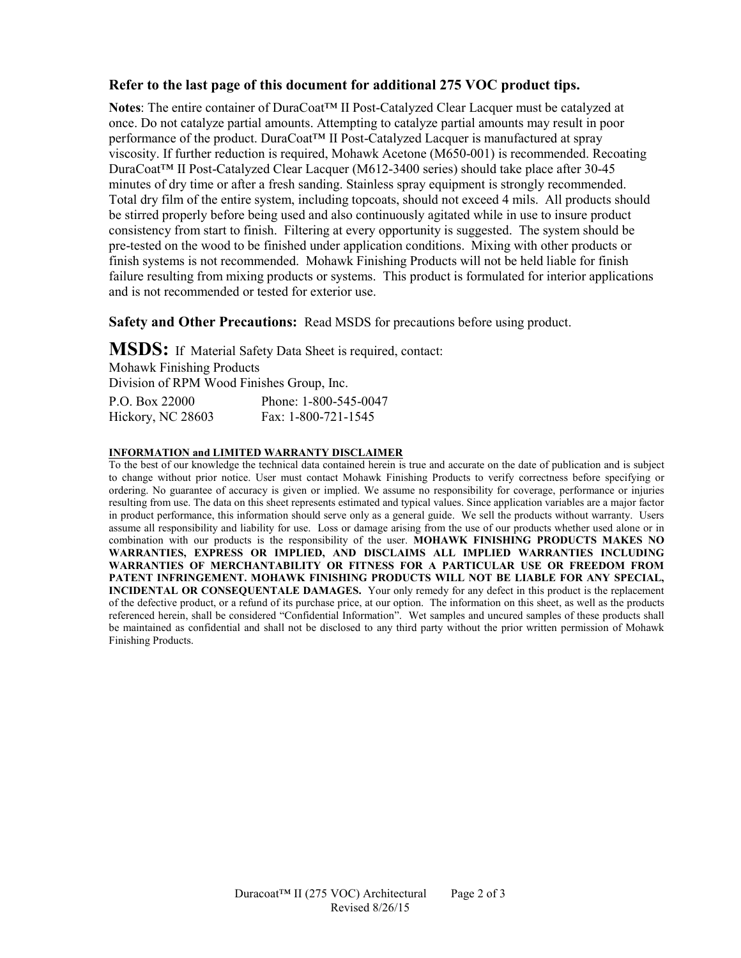#### **Refer to the last page of this document for additional 275 VOC product tips.**

**Notes**: The entire container of DuraCoat™ II Post-Catalyzed Clear Lacquer must be catalyzed at once. Do not catalyze partial amounts. Attempting to catalyze partial amounts may result in poor performance of the product. DuraCoat™ II Post-Catalyzed Lacquer is manufactured at spray viscosity. If further reduction is required, Mohawk Acetone (M650-001) is recommended. Recoating DuraCoat™ II Post-Catalyzed Clear Lacquer (M612-3400 series) should take place after 30-45 minutes of dry time or after a fresh sanding. Stainless spray equipment is strongly recommended. Total dry film of the entire system, including topcoats, should not exceed 4 mils. All products should be stirred properly before being used and also continuously agitated while in use to insure product consistency from start to finish. Filtering at every opportunity is suggested. The system should be pre-tested on the wood to be finished under application conditions. Mixing with other products or finish systems is not recommended. Mohawk Finishing Products will not be held liable for finish failure resulting from mixing products or systems. This product is formulated for interior applications and is not recommended or tested for exterior use.

**Safety and Other Precautions:** Read MSDS for precautions before using product.

**MSDS:** If Material Safety Data Sheet is required, contact: Mohawk Finishing Products Division of RPM Wood Finishes Group, Inc.

| P.O. Box 22000    | Phone: 1-800-545-0047 |
|-------------------|-----------------------|
| Hickory, NC 28603 | Fax: 1-800-721-1545   |

#### **INFORMATION and LIMITED WARRANTY DISCLAIMER**

To the best of our knowledge the technical data contained herein is true and accurate on the date of publication and is subject to change without prior notice. User must contact Mohawk Finishing Products to verify correctness before specifying or ordering. No guarantee of accuracy is given or implied. We assume no responsibility for coverage, performance or injuries resulting from use. The data on this sheet represents estimated and typical values. Since application variables are a major factor in product performance, this information should serve only as a general guide. We sell the products without warranty. Users assume all responsibility and liability for use. Loss or damage arising from the use of our products whether used alone or in combination with our products is the responsibility of the user. **MOHAWK FINISHING PRODUCTS MAKES NO WARRANTIES, EXPRESS OR IMPLIED, AND DISCLAIMS ALL IMPLIED WARRANTIES INCLUDING WARRANTIES OF MERCHANTABILITY OR FITNESS FOR A PARTICULAR USE OR FREEDOM FROM PATENT INFRINGEMENT. MOHAWK FINISHING PRODUCTS WILL NOT BE LIABLE FOR ANY SPECIAL, INCIDENTAL OR CONSEQUENTALE DAMAGES.** Your only remedy for any defect in this product is the replacement of the defective product, or a refund of its purchase price, at our option. The information on this sheet, as well as the products referenced herein, shall be considered "Confidential Information". Wet samples and uncured samples of these products shall be maintained as confidential and shall not be disclosed to any third party without the prior written permission of Mohawk Finishing Products.